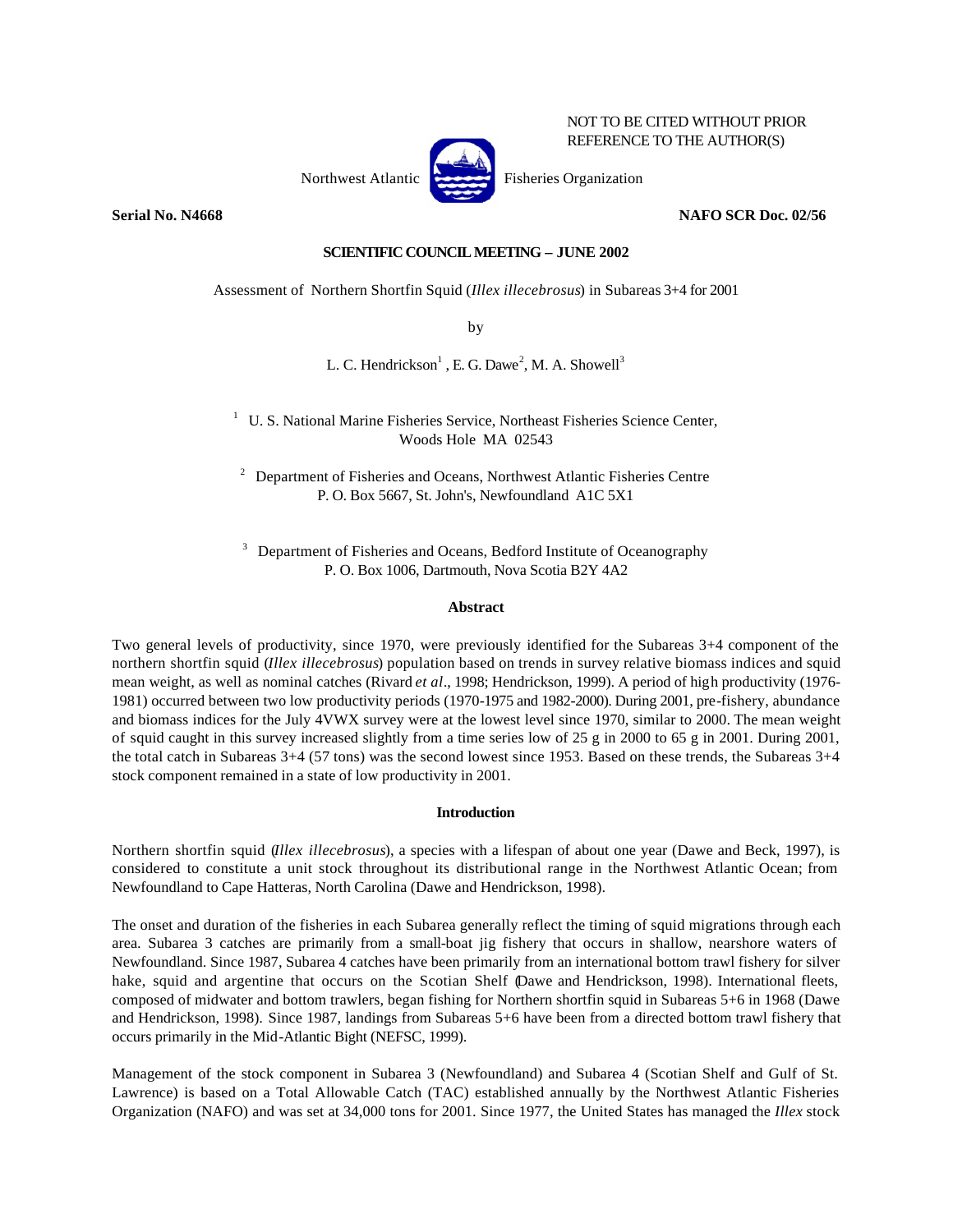

NOT TO BE CITED WITHOUT PRIOR REFERENCE TO THE AUTHOR(S)

**Serial No. N4668 NAFO SCR Doc. 02/56**

# **SCIENTIFIC COUNCIL MEETING – JUNE 2002**

Assessment of Northern Shortfin Squid (*Illex illecebrosus*) in Subareas 3+4 for 2001

by

L. C. Hendrickson $<sup>1</sup>$ , E. G. Dawe<sup>2</sup>, M. A. Showell<sup>3</sup></sup>

<sup>1</sup> U. S. National Marine Fisheries Service, Northeast Fisheries Science Center, Woods Hole MA 02543

<sup>2</sup> Department of Fisheries and Oceans, Northwest Atlantic Fisheries Centre P. O. Box 5667, St. John's, Newfoundland A1C 5X1

<sup>3</sup> Department of Fisheries and Oceans, Bedford Institute of Oceanography P. O. Box 1006, Dartmouth, Nova Scotia B2Y 4A2

# **Abstract**

Two general levels of productivity, since 1970, were previously identified for the Subareas 3+4 component of the northern shortfin squid (*Illex illecebrosus*) population based on trends in survey relative biomass indices and squid mean weight, as well as nominal catches (Rivard *et al*., 1998; Hendrickson, 1999). A period of high productivity (1976- 1981) occurred between two low productivity periods (1970-1975 and 1982-2000). During 2001, pre-fishery, abundance and biomass indices for the July 4VWX survey were at the lowest level since 1970, similar to 2000. The mean weight of squid caught in this survey increased slightly from a time series low of 25 g in 2000 to 65 g in 2001. During 2001, the total catch in Subareas 3+4 (57 tons) was the second lowest since 1953. Based on these trends, the Subareas 3+4 stock component remained in a state of low productivity in 2001.

## **Introduction**

Northern shortfin squid (*Illex illecebrosus*), a species with a lifespan of about one year (Dawe and Beck, 1997), is considered to constitute a unit stock throughout its distributional range in the Northwest Atlantic Ocean; from Newfoundland to Cape Hatteras, North Carolina (Dawe and Hendrickson, 1998).

The onset and duration of the fisheries in each Subarea generally reflect the timing of squid migrations through each area. Subarea 3 catches are primarily from a small-boat jig fishery that occurs in shallow, nearshore waters of Newfoundland. Since 1987, Subarea 4 catches have been primarily from an international bottom trawl fishery for silver hake, squid and argentine that occurs on the Scotian Shelf (Dawe and Hendrickson, 1998). International fleets, composed of midwater and bottom trawlers, began fishing for Northern shortfin squid in Subareas 5+6 in 1968 (Dawe and Hendrickson, 1998). Since 1987, landings from Subareas 5+6 have been from a directed bottom trawl fishery that occurs primarily in the Mid-Atlantic Bight (NEFSC, 1999).

Management of the stock component in Subarea 3 (Newfoundland) and Subarea 4 (Scotian Shelf and Gulf of St. Lawrence) is based on a Total Allowable Catch (TAC) established annually by the Northwest Atlantic Fisheries Organization (NAFO) and was set at 34,000 tons for 2001. Since 1977, the United States has managed the *Illex* stock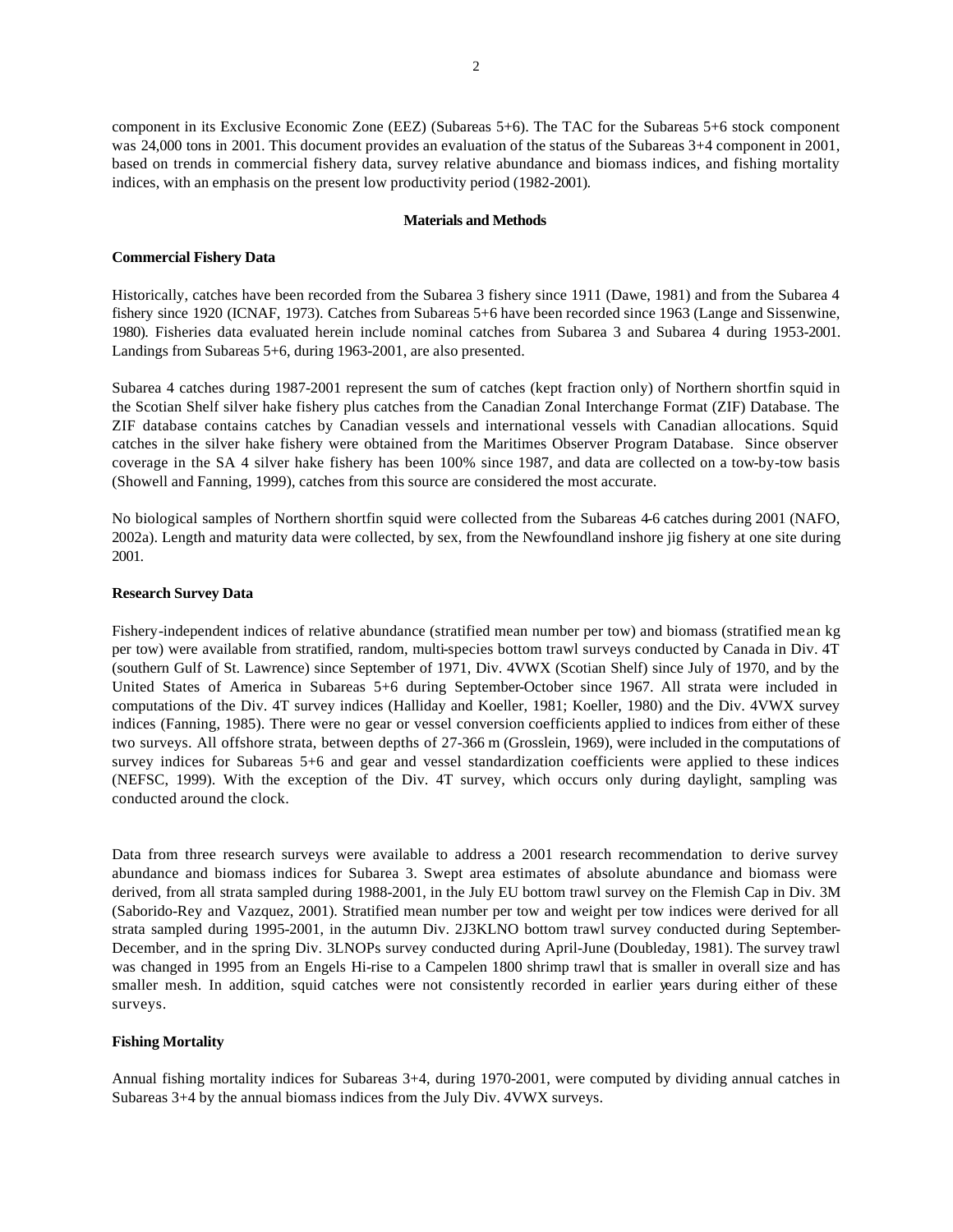component in its Exclusive Economic Zone (EEZ) (Subareas 5+6). The TAC for the Subareas 5+6 stock component was 24,000 tons in 2001. This document provides an evaluation of the status of the Subareas 3+4 component in 2001, based on trends in commercial fishery data, survey relative abundance and biomass indices, and fishing mortality indices, with an emphasis on the present low productivity period (1982-2001).

#### **Materials and Methods**

#### **Commercial Fishery Data**

Historically, catches have been recorded from the Subarea 3 fishery since 1911 (Dawe, 1981) and from the Subarea 4 fishery since 1920 (ICNAF, 1973). Catches from Subareas 5+6 have been recorded since 1963 (Lange and Sissenwine, 1980). Fisheries data evaluated herein include nominal catches from Subarea 3 and Subarea 4 during 1953-2001. Landings from Subareas 5+6, during 1963-2001, are also presented.

Subarea 4 catches during 1987-2001 represent the sum of catches (kept fraction only) of Northern shortfin squid in the Scotian Shelf silver hake fishery plus catches from the Canadian Zonal Interchange Format (ZIF) Database. The ZIF database contains catches by Canadian vessels and international vessels with Canadian allocations. Squid catches in the silver hake fishery were obtained from the Maritimes Observer Program Database. Since observer coverage in the SA 4 silver hake fishery has been 100% since 1987, and data are collected on a tow-by-tow basis (Showell and Fanning, 1999), catches from this source are considered the most accurate.

No biological samples of Northern shortfin squid were collected from the Subareas 4-6 catches during 2001 (NAFO, 2002a). Length and maturity data were collected, by sex, from the Newfoundland inshore jig fishery at one site during 2001.

#### **Research Survey Data**

Fishery-independent indices of relative abundance (stratified mean number per tow) and biomass (stratified mean kg per tow) were available from stratified, random, multi-species bottom trawl surveys conducted by Canada in Div. 4T (southern Gulf of St. Lawrence) since September of 1971, Div. 4VWX (Scotian Shelf) since July of 1970, and by the United States of America in Subareas 5+6 during September-October since 1967. All strata were included in computations of the Div. 4T survey indices (Halliday and Koeller, 1981; Koeller, 1980) and the Div. 4VWX survey indices (Fanning, 1985). There were no gear or vessel conversion coefficients applied to indices from either of these two surveys. All offshore strata, between depths of 27-366 m (Grosslein, 1969), were included in the computations of survey indices for Subareas 5+6 and gear and vessel standardization coefficients were applied to these indices (NEFSC, 1999). With the exception of the Div. 4T survey, which occurs only during daylight, sampling was conducted around the clock.

Data from three research surveys were available to address a 2001 research recommendation to derive survey abundance and biomass indices for Subarea 3. Swept area estimates of absolute abundance and biomass were derived, from all strata sampled during 1988-2001, in the July EU bottom trawl survey on the Flemish Cap in Div. 3M (Saborido-Rey and Vazquez, 2001). Stratified mean number per tow and weight per tow indices were derived for all strata sampled during 1995-2001, in the autumn Div. 2J3KLNO bottom trawl survey conducted during September-December, and in the spring Div. 3LNOPs survey conducted during April-June (Doubleday, 1981). The survey trawl was changed in 1995 from an Engels Hi-rise to a Campelen 1800 shrimp trawl that is smaller in overall size and has smaller mesh. In addition, squid catches were not consistently recorded in earlier years during either of these surveys.

## **Fishing Mortality**

Annual fishing mortality indices for Subareas 3+4, during 1970-2001, were computed by dividing annual catches in Subareas 3+4 by the annual biomass indices from the July Div. 4VWX surveys.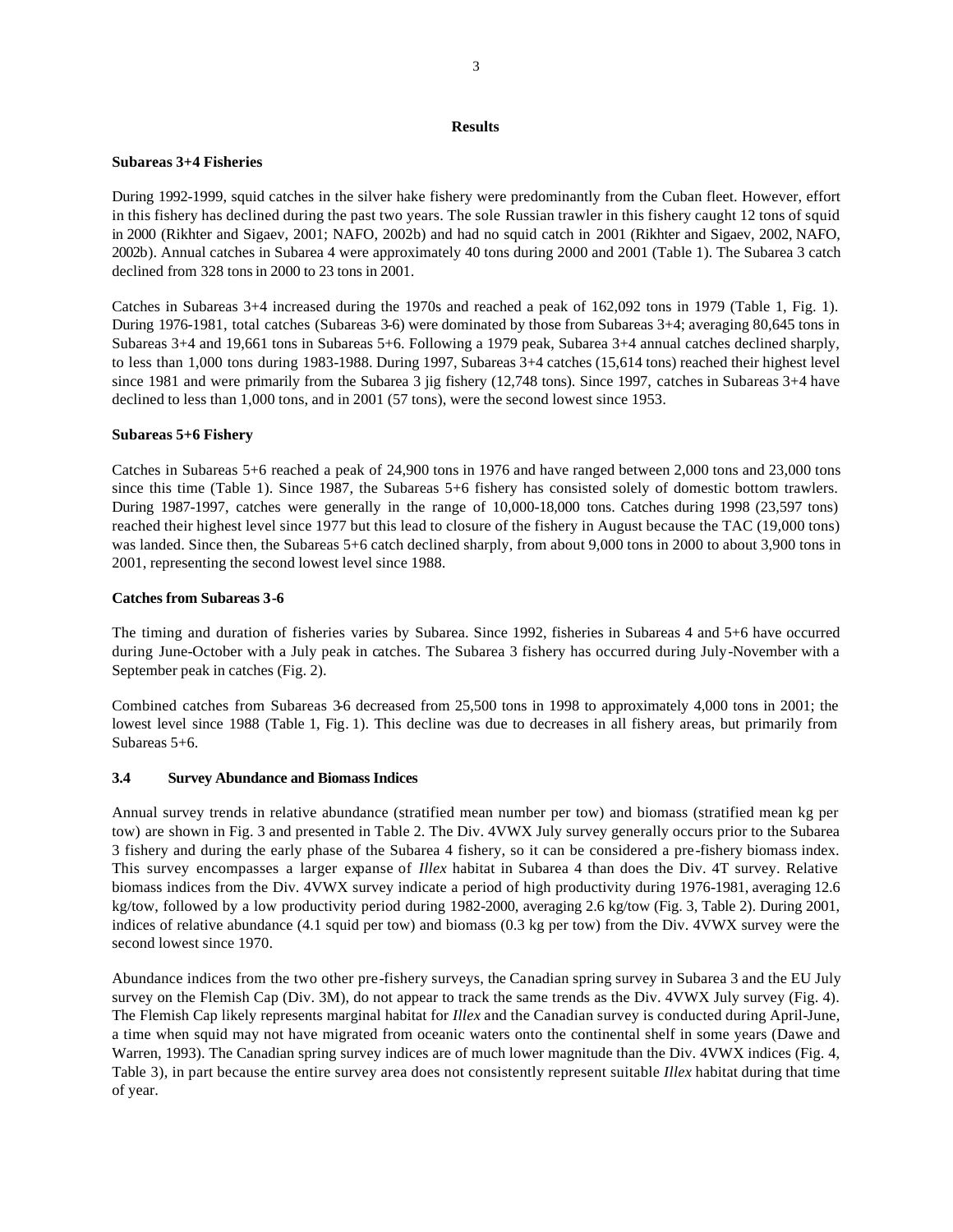#### **Results**

# **Subareas 3+4 Fisheries**

During 1992-1999, squid catches in the silver hake fishery were predominantly from the Cuban fleet. However, effort in this fishery has declined during the past two years. The sole Russian trawler in this fishery caught 12 tons of squid in 2000 (Rikhter and Sigaev, 2001; NAFO, 2002b) and had no squid catch in 2001 (Rikhter and Sigaev, 2002, NAFO, 2002b). Annual catches in Subarea 4 were approximately 40 tons during 2000 and 2001 (Table 1). The Subarea 3 catch declined from 328 tons in 2000 to 23 tons in 2001.

Catches in Subareas 3+4 increased during the 1970s and reached a peak of 162,092 tons in 1979 (Table 1, Fig. 1). During 1976-1981, total catches (Subareas 3-6) were dominated by those from Subareas 3+4; averaging 80,645 tons in Subareas 3+4 and 19,661 tons in Subareas 5+6. Following a 1979 peak, Subarea 3+4 annual catches declined sharply, to less than 1,000 tons during 1983-1988. During 1997, Subareas 3+4 catches (15,614 tons) reached their highest level since 1981 and were primarily from the Subarea 3 jig fishery (12,748 tons). Since 1997, catches in Subareas 3+4 have declined to less than 1,000 tons, and in 2001 (57 tons), were the second lowest since 1953.

## **Subareas 5+6 Fishery**

Catches in Subareas 5+6 reached a peak of 24,900 tons in 1976 and have ranged between 2,000 tons and 23,000 tons since this time (Table 1). Since 1987, the Subareas 5+6 fishery has consisted solely of domestic bottom trawlers. During 1987-1997, catches were generally in the range of 10,000-18,000 tons. Catches during 1998 (23,597 tons) reached their highest level since 1977 but this lead to closure of the fishery in August because the TAC (19,000 tons) was landed. Since then, the Subareas 5+6 catch declined sharply, from about 9,000 tons in 2000 to about 3,900 tons in 2001, representing the second lowest level since 1988.

## **Catches from Subareas 3-6**

The timing and duration of fisheries varies by Subarea. Since 1992, fisheries in Subareas 4 and 5+6 have occurred during June-October with a July peak in catches. The Subarea 3 fishery has occurred during July-November with a September peak in catches (Fig. 2).

Combined catches from Subareas 3-6 decreased from 25,500 tons in 1998 to approximately 4,000 tons in 2001; the lowest level since 1988 (Table 1, Fig. 1). This decline was due to decreases in all fishery areas, but primarily from Subareas 5+6.

## **3.4 Survey Abundance and Biomass Indices**

Annual survey trends in relative abundance (stratified mean number per tow) and biomass (stratified mean kg per tow) are shown in Fig. 3 and presented in Table 2. The Div. 4VWX July survey generally occurs prior to the Subarea 3 fishery and during the early phase of the Subarea 4 fishery, so it can be considered a pre-fishery biomass index. This survey encompasses a larger expanse of *Illex* habitat in Subarea 4 than does the Div. 4T survey. Relative biomass indices from the Div. 4VWX survey indicate a period of high productivity during 1976-1981, averaging 12.6 kg/tow, followed by a low productivity period during 1982-2000, averaging 2.6 kg/tow (Fig. 3, Table 2). During 2001, indices of relative abundance (4.1 squid per tow) and biomass (0.3 kg per tow) from the Div. 4VWX survey were the second lowest since 1970.

Abundance indices from the two other pre-fishery surveys, the Canadian spring survey in Subarea 3 and the EU July survey on the Flemish Cap (Div. 3M), do not appear to track the same trends as the Div. 4VWX July survey (Fig. 4). The Flemish Cap likely represents marginal habitat for *Illex* and the Canadian survey is conducted during April-June, a time when squid may not have migrated from oceanic waters onto the continental shelf in some years (Dawe and Warren, 1993). The Canadian spring survey indices are of much lower magnitude than the Div. 4VWX indices (Fig. 4, Table 3), in part because the entire survey area does not consistently represent suitable *Illex* habitat during that time of year.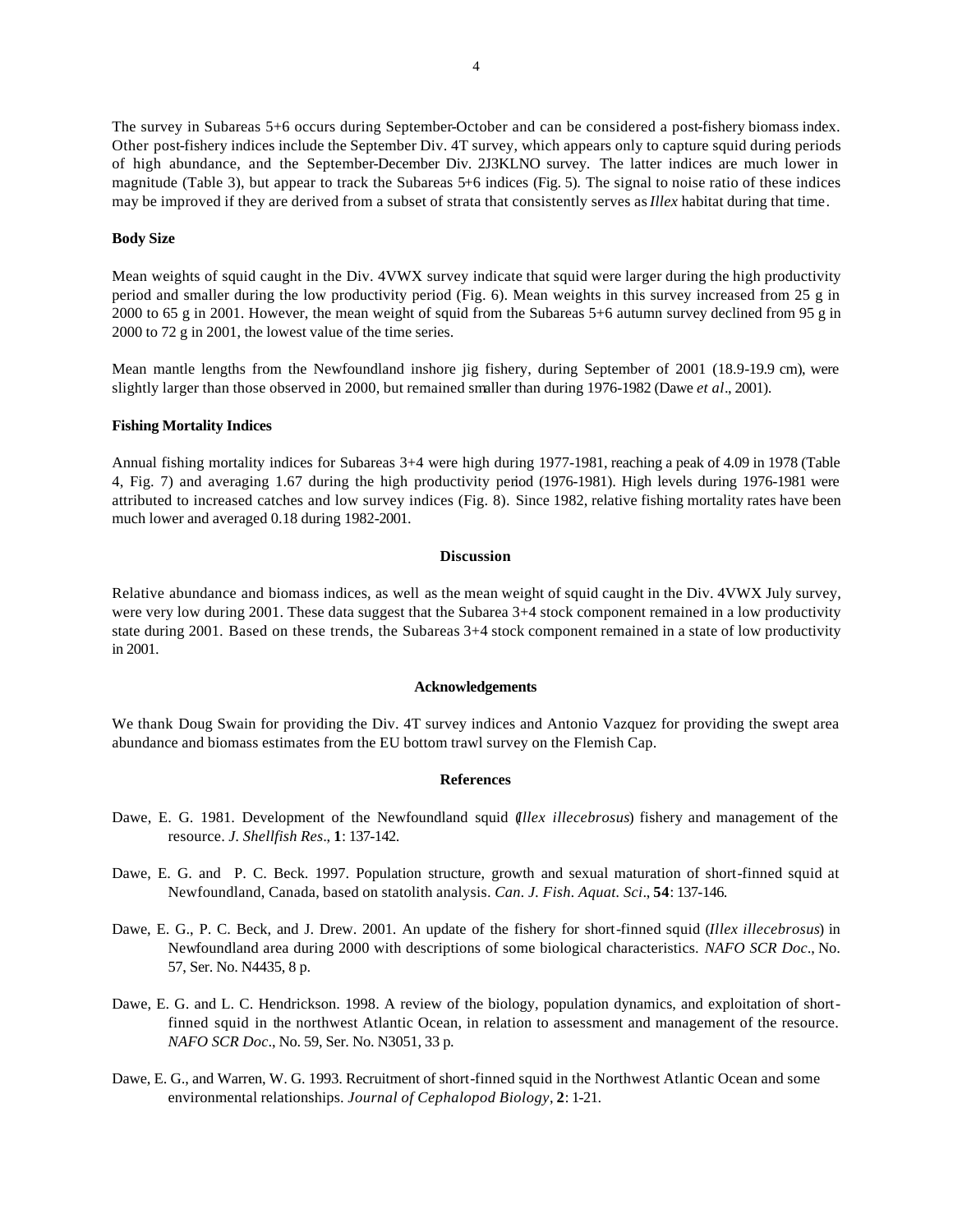The survey in Subareas 5+6 occurs during September-October and can be considered a post-fishery biomass index. Other post-fishery indices include the September Div. 4T survey, which appears only to capture squid during periods of high abundance, and the September-December Div. 2J3KLNO survey. The latter indices are much lower in magnitude (Table 3), but appear to track the Subareas 5+6 indices (Fig. 5). The signal to noise ratio of these indices may be improved if they are derived from a subset of strata that consistently serves as *Illex* habitat during that time.

## **Body Size**

Mean weights of squid caught in the Div. 4VWX survey indicate that squid were larger during the high productivity period and smaller during the low productivity period (Fig. 6). Mean weights in this survey increased from 25 g in 2000 to 65 g in 2001. However, the mean weight of squid from the Subareas 5+6 autumn survey declined from 95 g in 2000 to 72 g in 2001, the lowest value of the time series.

Mean mantle lengths from the Newfoundland inshore jig fishery, during September of 2001 (18.9-19.9 cm), were slightly larger than those observed in 2000, but remained smaller than during 1976-1982 (Dawe *et al*., 2001).

# **Fishing Mortality Indices**

Annual fishing mortality indices for Subareas 3+4 were high during 1977-1981, reaching a peak of 4.09 in 1978 (Table 4, Fig. 7) and averaging 1.67 during the high productivity period (1976-1981). High levels during 1976-1981 were attributed to increased catches and low survey indices (Fig. 8). Since 1982, relative fishing mortality rates have been much lower and averaged 0.18 during 1982-2001.

## **Discussion**

Relative abundance and biomass indices, as well as the mean weight of squid caught in the Div. 4VWX July survey, were very low during 2001. These data suggest that the Subarea 3+4 stock component remained in a low productivity state during 2001. Based on these trends, the Subareas 3+4 stock component remained in a state of low productivity in 2001.

#### **Acknowledgements**

We thank Doug Swain for providing the Div. 4T survey indices and Antonio Vazquez for providing the swept area abundance and biomass estimates from the EU bottom trawl survey on the Flemish Cap.

#### **References**

- Dawe, E. G. 1981. Development of the Newfoundland squid (*Illex illecebrosus*) fishery and management of the resource. *J. Shellfish Res*., **1**: 137-142.
- Dawe, E. G. and P. C. Beck. 1997. Population structure, growth and sexual maturation of short-finned squid at Newfoundland, Canada, based on statolith analysis. *Can. J. Fish. Aquat. Sci*., **54**: 137-146.
- Dawe, E. G., P. C. Beck, and J. Drew. 2001. An update of the fishery for short-finned squid (*Illex illecebrosus*) in Newfoundland area during 2000 with descriptions of some biological characteristics. *NAFO SCR Doc*., No. 57, Ser. No. N4435, 8 p.
- Dawe, E. G. and L. C. Hendrickson. 1998. A review of the biology, population dynamics, and exploitation of shortfinned squid in the northwest Atlantic Ocean, in relation to assessment and management of the resource. *NAFO SCR Doc*., No. 59, Ser. No. N3051, 33 p.
- Dawe, E. G., and Warren, W. G. 1993. Recruitment of short-finned squid in the Northwest Atlantic Ocean and some environmental relationships. *Journal of Cephalopod Biology*, **2**: 1-21.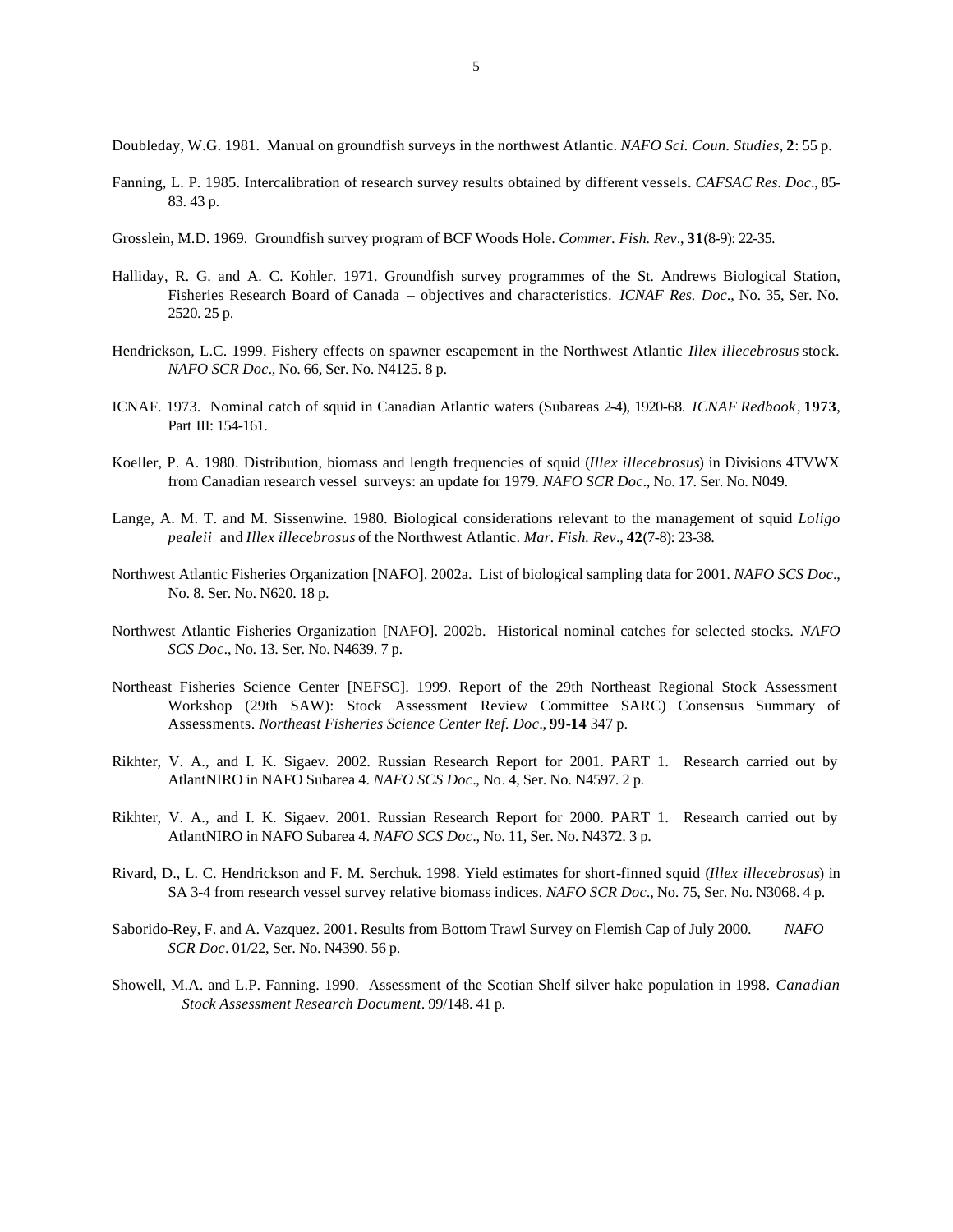Doubleday, W.G. 1981. Manual on groundfish surveys in the northwest Atlantic. *NAFO Sci. Coun. Studies*, **2**: 55 p.

- Fanning, L. P. 1985. Intercalibration of research survey results obtained by different vessels. *CAFSAC Res. Doc*., 85- 83. 43 p.
- Grosslein, M.D. 1969. Groundfish survey program of BCF Woods Hole. *Commer. Fish. Rev*., **31**(8-9): 22-35.
- Halliday, R. G. and A. C. Kohler. 1971. Groundfish survey programmes of the St. Andrews Biological Station, Fisheries Research Board of Canada – objectives and characteristics. *ICNAF Res. Doc*., No. 35, Ser. No. 2520. 25 p.
- Hendrickson, L.C. 1999. Fishery effects on spawner escapement in the Northwest Atlantic *Illex illecebrosus* stock. *NAFO SCR Doc*., No. 66, Ser. No. N4125. 8 p.
- ICNAF. 1973. Nominal catch of squid in Canadian Atlantic waters (Subareas 2-4), 1920-68. *ICNAF Redbook*, **1973**, Part III: 154-161.
- Koeller, P. A. 1980. Distribution, biomass and length frequencies of squid (*Illex illecebrosus*) in Divisions 4TVWX from Canadian research vessel surveys: an update for 1979. *NAFO SCR Doc*., No. 17. Ser. No. N049.
- Lange, A. M. T. and M. Sissenwine. 1980. Biological considerations relevant to the management of squid *Loligo pealeii* and *Illex illecebrosus* of the Northwest Atlantic. *Mar. Fish. Rev*., **42**(7-8): 23-38.
- Northwest Atlantic Fisheries Organization [NAFO]. 2002a. List of biological sampling data for 2001. *NAFO SCS Doc*., No. 8. Ser. No. N620. 18 p.
- Northwest Atlantic Fisheries Organization [NAFO]. 2002b. Historical nominal catches for selected stocks. *NAFO SCS Doc*., No. 13. Ser. No. N4639. 7 p.
- Northeast Fisheries Science Center [NEFSC]. 1999. Report of the 29th Northeast Regional Stock Assessment Workshop (29th SAW): Stock Assessment Review Committee SARC) Consensus Summary of Assessments. *Northeast Fisheries Science Center Ref. Doc*., **99-14** 347 p.
- Rikhter, V. A., and I. K. Sigaev. 2002. Russian Research Report for 2001. PART 1. Research carried out by AtlantNIRO in NAFO Subarea 4. *NAFO SCS Doc*., No. 4, Ser. No. N4597. 2 p.
- Rikhter, V. A., and I. K. Sigaev. 2001. Russian Research Report for 2000. PART 1. Research carried out by AtlantNIRO in NAFO Subarea 4. *NAFO SCS Doc*., No. 11, Ser. No. N4372. 3 p.
- Rivard, D., L. C. Hendrickson and F. M. Serchuk. 1998. Yield estimates for short-finned squid (*Illex illecebrosus*) in SA 3-4 from research vessel survey relative biomass indices. *NAFO SCR Doc*., No. 75, Ser. No. N3068. 4 p.
- Saborido-Rey, F. and A. Vazquez. 2001. Results from Bottom Trawl Survey on Flemish Cap of July 2000. *NAFO SCR Doc*. 01/22, Ser. No. N4390. 56 p.
- Showell, M.A. and L.P. Fanning. 1990. Assessment of the Scotian Shelf silver hake population in 1998. *Canadian Stock Assessment Research Document*. 99/148. 41 p.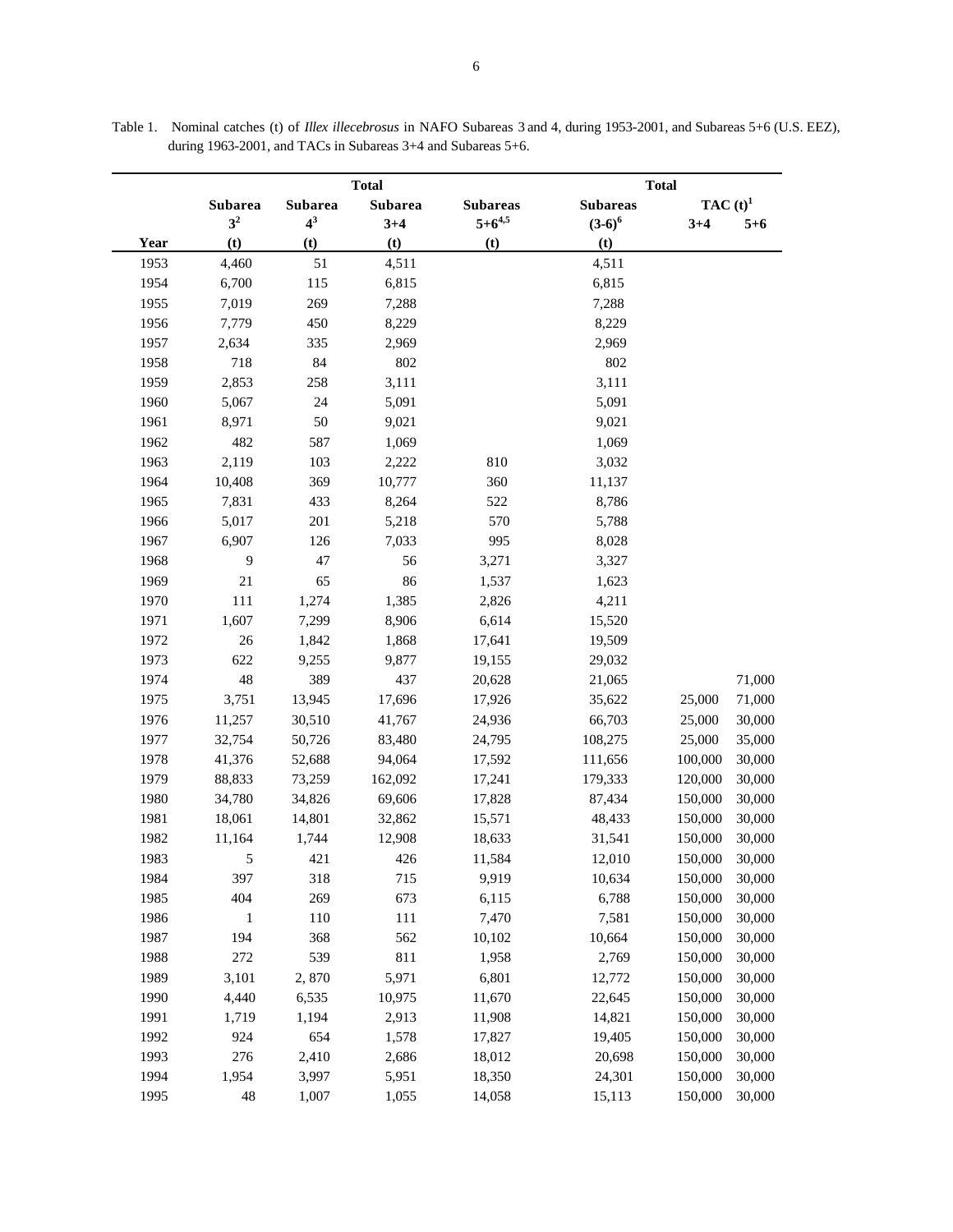|      | <b>Total</b>   |         |                |                 | <b>Total</b>    |             |         |  |
|------|----------------|---------|----------------|-----------------|-----------------|-------------|---------|--|
|      | Subarea        | Subarea | <b>Subarea</b> | <b>Subareas</b> | <b>Subareas</b> | TAC $(t)^1$ |         |  |
|      | 3 <sup>2</sup> | $4^3$   | $3 + 4$        | $5 + 6^{4,5}$   | $(3-6)^6$       | $3 + 4$     | $5 + 6$ |  |
| Year | (t)            | (t)     | (t)            | (t)             | (t)             |             |         |  |
| 1953 | 4,460          | 51      | 4,511          |                 | 4,511           |             |         |  |
| 1954 | 6,700          | 115     | 6,815          |                 | 6,815           |             |         |  |
| 1955 | 7,019          | 269     | 7,288          |                 | 7,288           |             |         |  |
| 1956 | 7,779          | 450     | 8,229          |                 | 8,229           |             |         |  |
| 1957 | 2,634          | 335     | 2,969          |                 | 2,969           |             |         |  |
| 1958 | 718            | 84      | 802            |                 | 802             |             |         |  |
| 1959 | 2,853          | 258     | 3,111          |                 | 3,111           |             |         |  |
| 1960 | 5,067          | 24      | 5,091          |                 | 5,091           |             |         |  |
| 1961 | 8,971          | 50      | 9,021          |                 | 9,021           |             |         |  |
| 1962 | 482            | 587     | 1,069          |                 | 1,069           |             |         |  |
| 1963 | 2,119          | 103     | 2,222          | 810             | 3,032           |             |         |  |
| 1964 | 10,408         | 369     | 10,777         | 360             | 11,137          |             |         |  |
| 1965 | 7,831          | 433     | 8,264          | 522             | 8,786           |             |         |  |
| 1966 | 5,017          | 201     | 5,218          | 570             | 5,788           |             |         |  |
| 1967 | 6,907          | 126     | 7,033          | 995             | 8,028           |             |         |  |
| 1968 | 9              | 47      | 56             | 3,271           | 3,327           |             |         |  |
| 1969 | 21             | 65      | 86             | 1,537           | 1,623           |             |         |  |
| 1970 | 111            | 1,274   | 1,385          | 2,826           | 4,211           |             |         |  |
| 1971 | 1,607          | 7,299   | 8,906          | 6,614           | 15,520          |             |         |  |
| 1972 | 26             | 1,842   | 1,868          | 17,641          | 19,509          |             |         |  |
| 1973 | 622            | 9,255   | 9,877          | 19,155          | 29,032          |             |         |  |
| 1974 | 48             | 389     | 437            | 20,628          | 21,065          |             | 71,000  |  |
| 1975 | 3,751          | 13,945  | 17,696         | 17,926          | 35,622          | 25,000      | 71,000  |  |
| 1976 | 11,257         | 30,510  | 41,767         | 24,936          | 66,703          | 25,000      | 30,000  |  |
| 1977 | 32,754         | 50,726  | 83,480         | 24,795          | 108,275         | 25,000      | 35,000  |  |
| 1978 | 41,376         | 52,688  | 94,064         | 17,592          | 111,656         | 100,000     | 30,000  |  |
| 1979 | 88,833         | 73,259  | 162,092        | 17,241          | 179,333         | 120,000     | 30,000  |  |
| 1980 | 34,780         | 34,826  | 69,606         | 17,828          | 87,434          | 150,000     | 30,000  |  |
| 1981 | 18,061         | 14,801  | 32,862         | 15,571          | 48,433          | 150,000     | 30,000  |  |
| 1982 | 11,164         | 1,744   | 12,908         | 18,633          | 31,541          | 150,000     | 30,000  |  |
| 1983 | 5              | 421     | 426            | 11,584          | 12,010          | 150,000     | 30,000  |  |
| 1984 | 397            | 318     | 715            | 9,919           | 10,634          | 150,000     | 30,000  |  |
| 1985 | 404            | 269     | 673            | 6,115           | 6,788           | 150,000     | 30,000  |  |
| 1986 | 1              | 110     | 111            | 7,470           | 7,581           | 150,000     | 30,000  |  |
| 1987 | 194            | 368     | 562            | 10,102          | 10,664          | 150,000     | 30,000  |  |
| 1988 | 272            | 539     | 811            | 1,958           | 2,769           | 150,000     | 30,000  |  |
| 1989 | 3,101          | 2,870   | 5,971          | 6,801           | 12,772          | 150,000     | 30,000  |  |
| 1990 | 4,440          | 6,535   | 10,975         | 11,670          | 22,645          | 150,000     | 30,000  |  |
| 1991 | 1,719          | 1,194   | 2,913          | 11,908          | 14,821          | 150,000     | 30,000  |  |
| 1992 | 924            | 654     | 1,578          | 17,827          | 19,405          | 150,000     | 30,000  |  |
| 1993 | 276            | 2,410   | 2,686          | 18,012          | 20,698          | 150,000     | 30,000  |  |
| 1994 | 1,954          | 3,997   | 5,951          | 18,350          | 24,301          | 150,000     | 30,000  |  |
| 1995 | 48             | 1,007   | 1,055          | 14,058          | 15,113          | 150,000     | 30,000  |  |

Table 1. Nominal catches (t) of *Illex illecebrosus* in NAFO Subareas 3 and 4, during 1953-2001, and Subareas 5+6 (U.S. EEZ), during 1963-2001, and TACs in Subareas 3+4 and Subareas 5+6.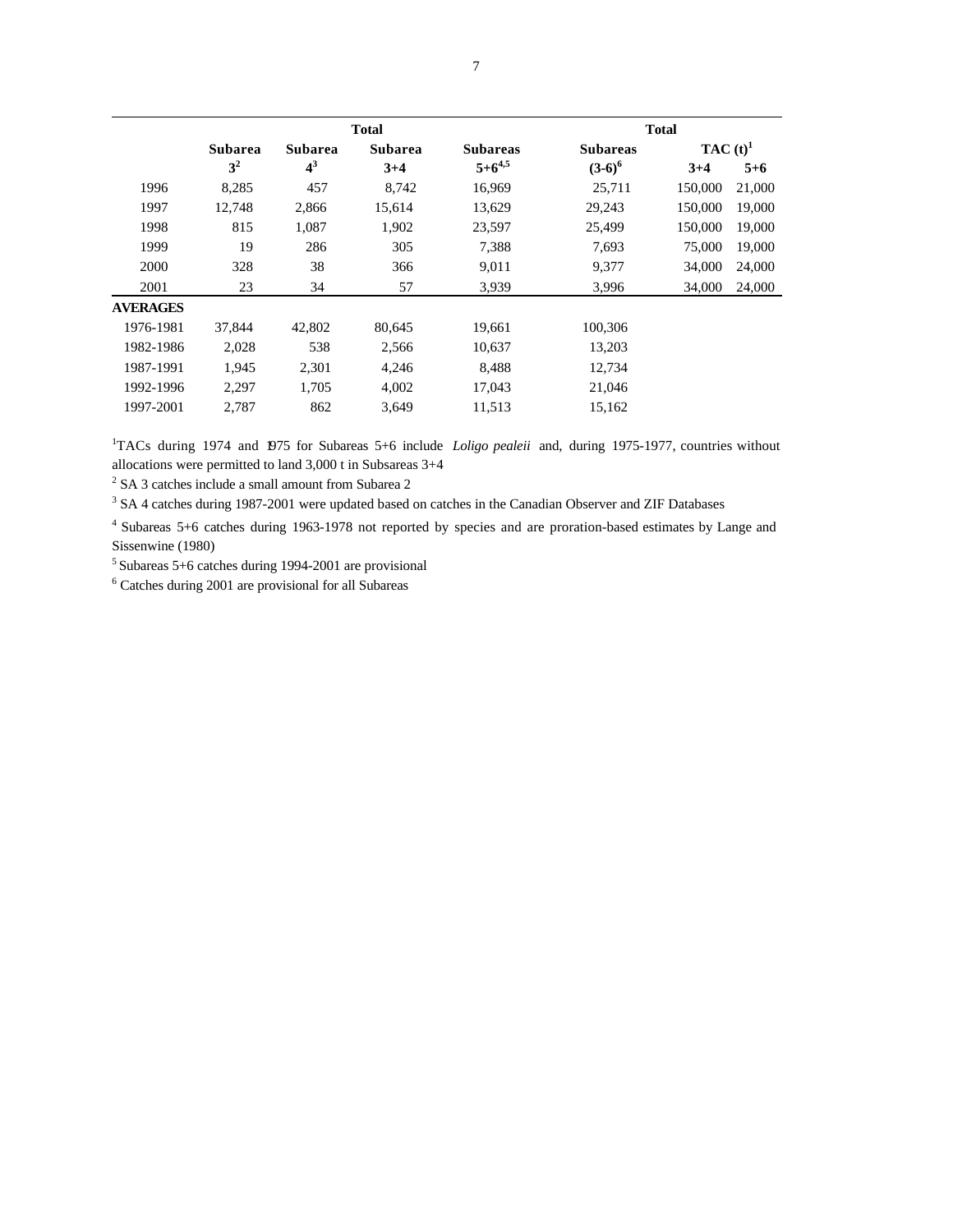|                 |                |                | <b>Total</b>   |                 |                 | <b>Total</b> |         |  |
|-----------------|----------------|----------------|----------------|-----------------|-----------------|--------------|---------|--|
|                 | <b>Subarea</b> | <b>Subarea</b> | <b>Subarea</b> | <b>Subareas</b> | <b>Subareas</b> | TAC $(t)^1$  |         |  |
|                 | 3 <sup>2</sup> | $4^3$          | $3+4$          | $5 + 6^{4,5}$   | $(3-6)^6$       | $3+4$        | $5 + 6$ |  |
| 1996            | 8,285          | 457            | 8,742          | 16,969          | 25,711          | 150,000      | 21,000  |  |
| 1997            | 12,748         | 2,866          | 15,614         | 13,629          | 29,243          | 150,000      | 19,000  |  |
| 1998            | 815            | 1,087          | 1,902          | 23,597          | 25,499          | 150,000      | 19,000  |  |
| 1999            | 19             | 286            | 305            | 7,388           | 7,693           | 75,000       | 19,000  |  |
| 2000            | 328            | 38             | 366            | 9,011           | 9,377           | 34,000       | 24,000  |  |
| 2001            | 23             | 34             | 57             | 3,939           | 3,996           | 34,000       | 24,000  |  |
| <b>AVERAGES</b> |                |                |                |                 |                 |              |         |  |
| 1976-1981       | 37,844         | 42,802         | 80,645         | 19,661          | 100.306         |              |         |  |
| 1982-1986       | 2,028          | 538            | 2,566          | 10,637          | 13,203          |              |         |  |
| 1987-1991       | 1,945          | 2,301          | 4,246          | 8,488           | 12,734          |              |         |  |
| 1992-1996       | 2,297          | 1,705          | 4,002          | 17,043          | 21,046          |              |         |  |
| 1997-2001       | 2,787          | 862            | 3,649          | 11,513          | 15,162          |              |         |  |
|                 |                |                |                |                 |                 |              |         |  |

<sup>1</sup>TACs during 1974 and 1975 for Subareas 5+6 include *Loligo pealeii* and, during 1975-1977, countries without allocations were permitted to land 3,000 t in Subsareas 3+4

<sup>2</sup> SA 3 catches include a small amount from Subarea 2

<sup>3</sup> SA 4 catches during 1987-2001 were updated based on catches in the Canadian Observer and ZIF Databases

<sup>4</sup>Subareas 5+6 catches during 1963-1978 not reported by species and are proration-based estimates by Lange and Sissenwine (1980)

 $<sup>5</sup>$  Subareas 5+6 catches during 1994-2001 are provisional</sup>

6 Catches during 2001 are provisional for all Subareas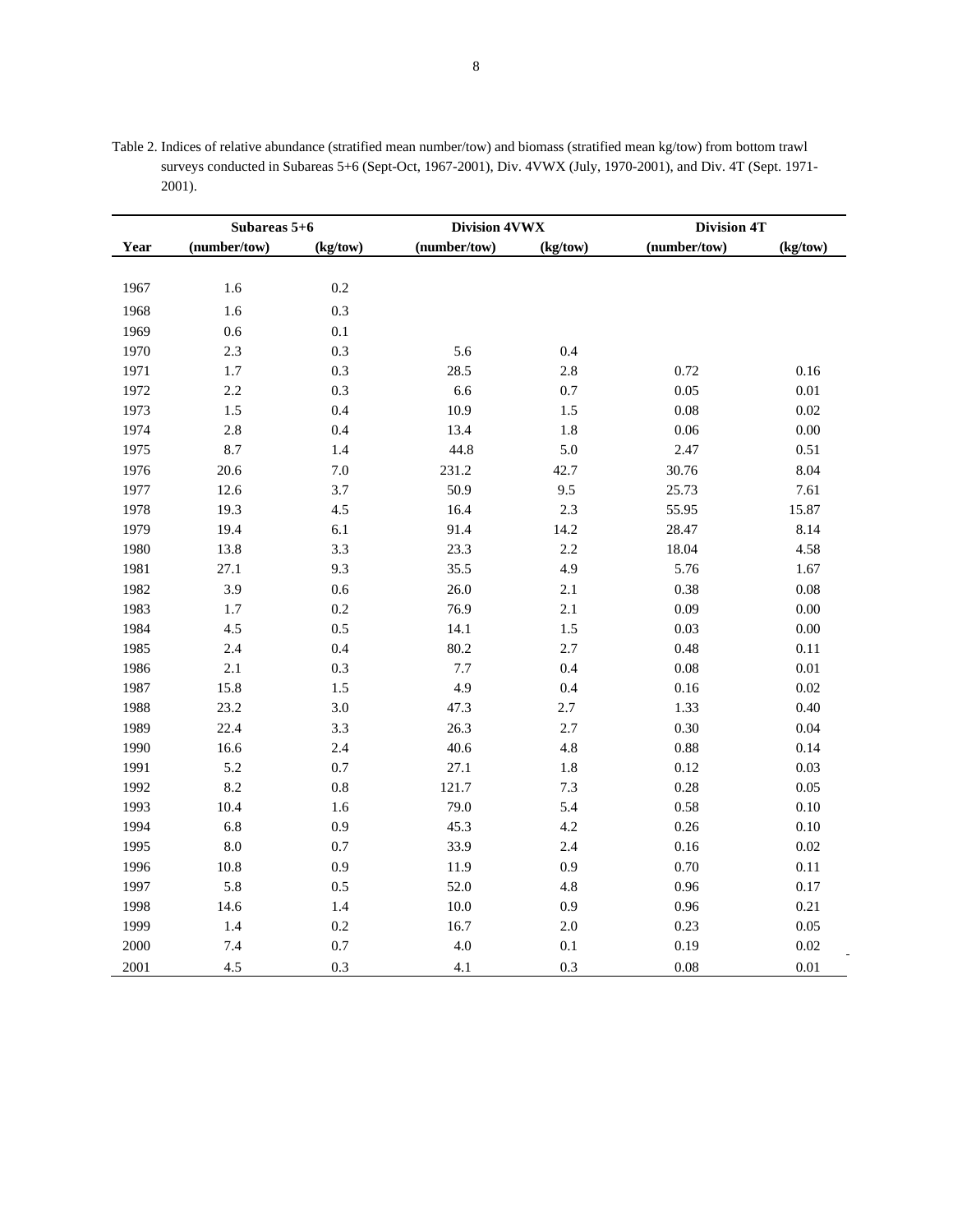| Table 2. Indices of relative abundance (stratified mean number/tow) and biomass (stratified mean kg/tow) from bottom trawl |
|----------------------------------------------------------------------------------------------------------------------------|
| surveys conducted in Subareas 5+6 (Sept-Oct, 1967-2001), Div. 4VWX (July, 1970-2001), and Div. 4T (Sept. 1971-             |
| 2001).                                                                                                                     |

|      |              | Subareas 5+6 |              | Division 4VWX |              | <b>Division 4T</b> |
|------|--------------|--------------|--------------|---------------|--------------|--------------------|
| Year | (number/tow) | (kg/tow)     | (number/tow) | (kg/tow)      | (number/tow) | (kg/tow)           |
|      |              |              |              |               |              |                    |
| 1967 | 1.6          | 0.2          |              |               |              |                    |
| 1968 | 1.6          | 0.3          |              |               |              |                    |
| 1969 | 0.6          | 0.1          |              |               |              |                    |
| 1970 | 2.3          | 0.3          | 5.6          | 0.4           |              |                    |
| 1971 | $1.7\,$      | 0.3          | 28.5         | 2.8           | 0.72         | 0.16               |
| 1972 | 2.2          | 0.3          | 6.6          | 0.7           | 0.05         | $0.01\,$           |
| 1973 | 1.5          | 0.4          | 10.9         | 1.5           | 0.08         | 0.02               |
| 1974 | 2.8          | 0.4          | 13.4         | 1.8           | 0.06         | 0.00               |
| 1975 | 8.7          | 1.4          | 44.8         | 5.0           | 2.47         | 0.51               |
| 1976 | 20.6         | 7.0          | 231.2        | 42.7          | 30.76        | 8.04               |
| 1977 | 12.6         | 3.7          | 50.9         | 9.5           | 25.73        | 7.61               |
| 1978 | 19.3         | 4.5          | 16.4         | 2.3           | 55.95        | 15.87              |
| 1979 | 19.4         | 6.1          | 91.4         | 14.2          | 28.47        | 8.14               |
| 1980 | 13.8         | 3.3          | 23.3         | 2.2           | 18.04        | 4.58               |
| 1981 | 27.1         | 9.3          | 35.5         | 4.9           | 5.76         | 1.67               |
| 1982 | 3.9          | 0.6          | 26.0         | 2.1           | 0.38         | 0.08               |
| 1983 | 1.7          | 0.2          | 76.9         | 2.1           | 0.09         | 0.00               |
| 1984 | 4.5          | 0.5          | 14.1         | 1.5           | 0.03         | 0.00               |
| 1985 | 2.4          | 0.4          | 80.2         | 2.7           | 0.48         | 0.11               |
| 1986 | 2.1          | 0.3          | 7.7          | 0.4           | 0.08         | $0.01\,$           |
| 1987 | 15.8         | $1.5\,$      | 4.9          | 0.4           | 0.16         | 0.02               |
| 1988 | 23.2         | 3.0          | 47.3         | 2.7           | 1.33         | 0.40               |
| 1989 | 22.4         | 3.3          | 26.3         | 2.7           | $0.30\,$     | 0.04               |
| 1990 | 16.6         | 2.4          | 40.6         | 4.8           | 0.88         | 0.14               |
| 1991 | 5.2          | $0.7\,$      | 27.1         | $1.8\,$       | 0.12         | 0.03               |
| 1992 | 8.2          | $0.8\,$      | 121.7        | $7.3\,$       | 0.28         | 0.05               |
| 1993 | 10.4         | 1.6          | 79.0         | 5.4           | 0.58         | $0.10\,$           |
| 1994 | 6.8          | 0.9          | 45.3         | 4.2           | 0.26         | $0.10\,$           |
| 1995 | 8.0          | 0.7          | 33.9         | 2.4           | 0.16         | $0.02\,$           |
| 1996 | $10.8\,$     | 0.9          | 11.9         | 0.9           | 0.70         | $0.11\,$           |
| 1997 | 5.8          | 0.5          | 52.0         | 4.8           | 0.96         | 0.17               |
| 1998 | 14.6         | 1.4          | 10.0         | 0.9           | 0.96         | 0.21               |
| 1999 | 1.4          | 0.2          | 16.7         | 2.0           | 0.23         | 0.05               |
| 2000 | 7.4          | 0.7          | 4.0          | 0.1           | 0.19         | 0.02               |
| 2001 | 4.5          | 0.3          | 4.1          | 0.3           | 0.08         | 0.01               |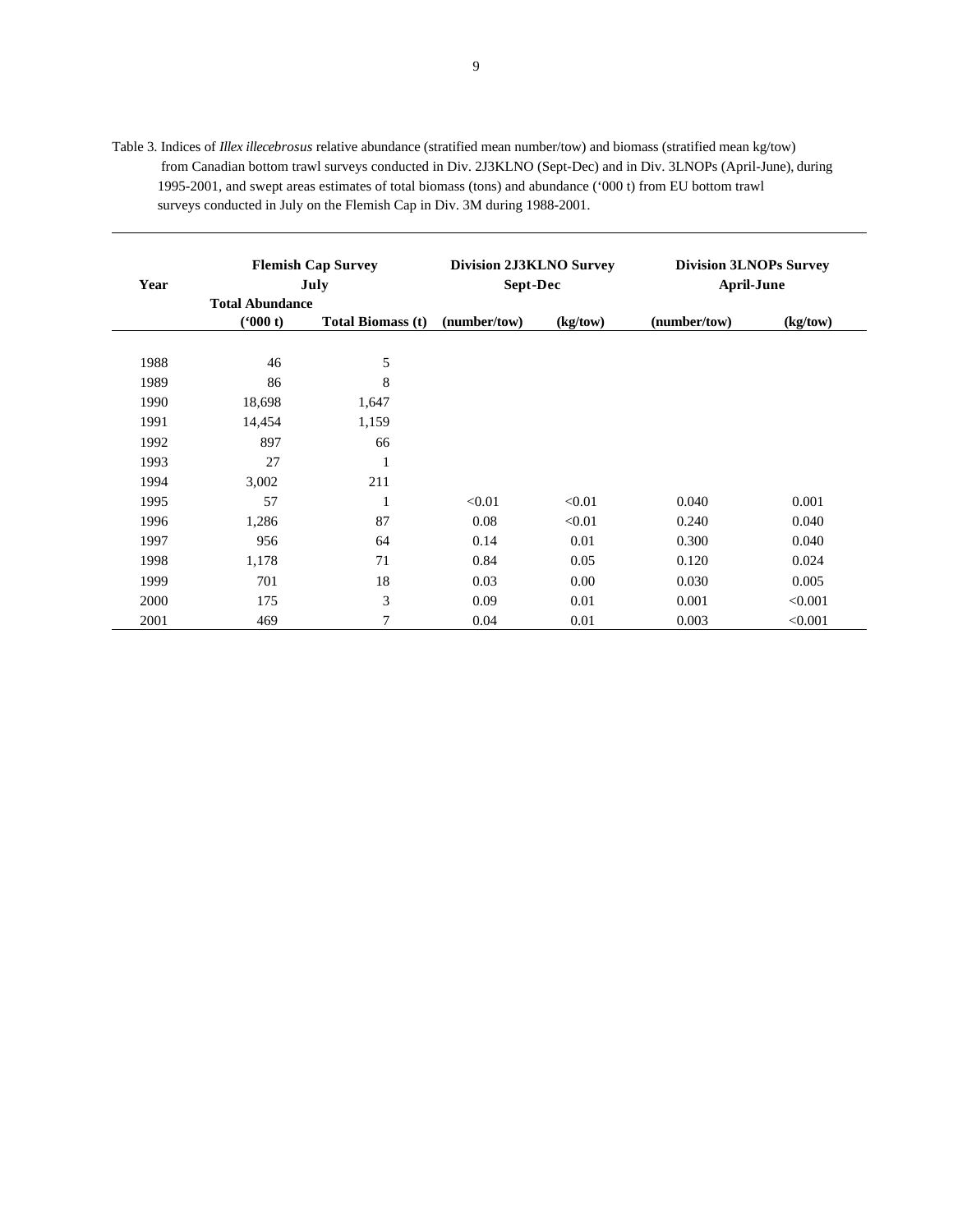Table 3. Indices of *Illex illecebrosus* relative abundance (stratified mean number/tow) and biomass (stratified mean kg/tow) from Canadian bottom trawl surveys conducted in Div. 2J3KLNO (Sept-Dec) and in Div. 3LNOPs (April-June), during 1995-2001, and swept areas estimates of total biomass (tons) and abundance ('000 t) from EU bottom trawl surveys conducted in July on the Flemish Cap in Div. 3M during 1988-2001.

| Year | <b>Flemish Cap Survey</b><br>July |                          | <b>Division 2J3KLNO Survey</b><br>Sept-Dec |          | <b>Division 3LNOPs Survey</b><br><b>April-June</b> |          |
|------|-----------------------------------|--------------------------|--------------------------------------------|----------|----------------------------------------------------|----------|
|      | <b>Total Abundance</b><br>(900 t) | <b>Total Biomass (t)</b> | (number/tow)                               | (kg/tow) | (number/tow)                                       | (kg/tow) |
| 1988 | 46                                | 5                        |                                            |          |                                                    |          |
| 1989 | 86                                | 8                        |                                            |          |                                                    |          |
| 1990 | 18,698                            | 1,647                    |                                            |          |                                                    |          |
| 1991 | 14,454                            | 1,159                    |                                            |          |                                                    |          |
| 1992 | 897                               | 66                       |                                            |          |                                                    |          |
| 1993 | 27                                | 1                        |                                            |          |                                                    |          |
| 1994 | 3,002                             | 211                      |                                            |          |                                                    |          |
| 1995 | 57                                | 1                        | < 0.01                                     | < 0.01   | 0.040                                              | 0.001    |
| 1996 | 1,286                             | 87                       | 0.08                                       | < 0.01   | 0.240                                              | 0.040    |
| 1997 | 956                               | 64                       | 0.14                                       | 0.01     | 0.300                                              | 0.040    |
| 1998 | 1,178                             | 71                       | 0.84                                       | 0.05     | 0.120                                              | 0.024    |
| 1999 | 701                               | 18                       | 0.03                                       | 0.00     | 0.030                                              | 0.005    |
| 2000 | 175                               | 3                        | 0.09                                       | 0.01     | 0.001                                              | < 0.001  |
| 2001 | 469                               | 7                        | 0.04                                       | 0.01     | 0.003                                              | < 0.001  |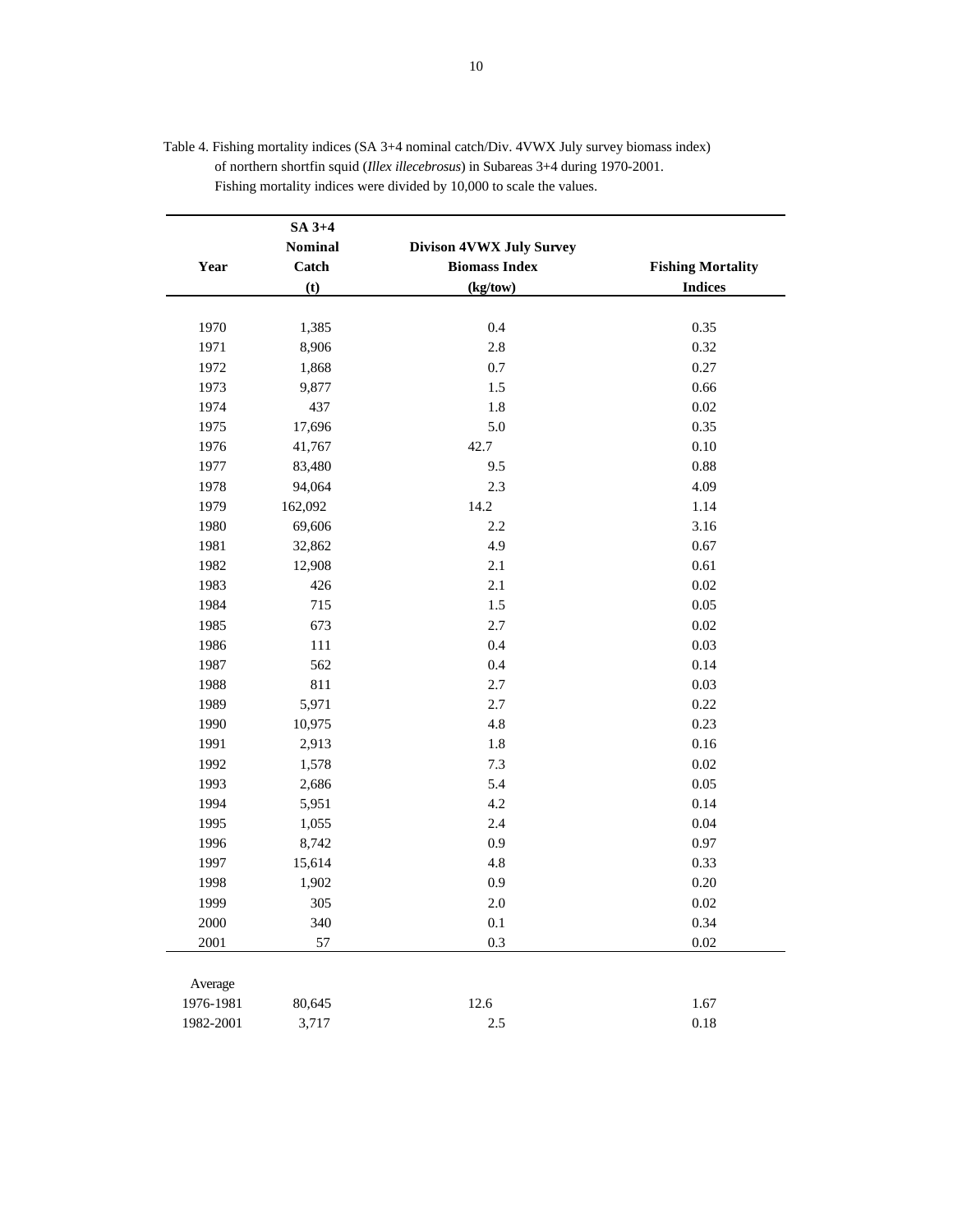|           | $SA$ 3+4       |                          |                          |
|-----------|----------------|--------------------------|--------------------------|
|           | <b>Nominal</b> | Divison 4VWX July Survey |                          |
| Year      | Catch          | <b>Biomass Index</b>     | <b>Fishing Mortality</b> |
|           | (t)            | (kg/tow)                 | <b>Indices</b>           |
|           |                |                          |                          |
| 1970      | 1,385          | 0.4                      | 0.35                     |
| 1971      | 8,906          | 2.8                      | 0.32                     |
| 1972      | 1,868          | 0.7                      | 0.27                     |
| 1973      | 9,877          | 1.5                      | 0.66                     |
| 1974      | 437            | 1.8                      | $0.02\,$                 |
| 1975      | 17,696         | 5.0                      | 0.35                     |
| 1976      | 41,767         | 42.7                     | $0.10\,$                 |
| 1977      | 83,480         | 9.5                      | 0.88                     |
| 1978      | 94,064         | 2.3                      | 4.09                     |
| 1979      | 162,092        | 14.2                     | 1.14                     |
| 1980      | 69,606         | 2.2                      | 3.16                     |
| 1981      | 32,862         | 4.9                      | 0.67                     |
| 1982      | 12,908         | 2.1                      | 0.61                     |
| 1983      | 426            | 2.1                      | $0.02\,$                 |
| 1984      | 715            | 1.5                      | 0.05                     |
| 1985      | 673            | 2.7                      | $0.02\,$                 |
| 1986      | 111            | 0.4                      | 0.03                     |
| 1987      | 562            | 0.4                      | 0.14                     |
| 1988      | 811            | 2.7                      | 0.03                     |
| 1989      | 5,971          | 2.7                      | 0.22                     |
| 1990      | 10,975         | 4.8                      | 0.23                     |
| 1991      | 2,913          | $1.8\,$                  | 0.16                     |
| 1992      | 1,578          | 7.3                      | $0.02\,$                 |
| 1993      | 2,686          | 5.4                      | 0.05                     |
| 1994      | 5,951          | 4.2                      | 0.14                     |
| 1995      | 1,055          | 2.4                      | 0.04                     |
| 1996      | 8,742          | 0.9                      | 0.97                     |
| 1997      | 15,614         | 4.8                      | 0.33                     |
| 1998      | 1,902          | 0.9                      | 0.20                     |
| 1999      | 305            | 2.0                      | 0.02                     |
| 2000      | 340            | $0.1\,$                  | 0.34                     |
| 2001      | 57             | 0.3                      | $0.02\,$                 |
|           |                |                          |                          |
| Average   |                |                          |                          |
| 1976-1981 | 80,645         | 12.6                     | 1.67                     |
| 1982-2001 | 3,717          | 2.5                      | 0.18                     |
|           |                |                          |                          |

| Table 4. Fishing mortality indices (SA 3+4 nominal catch/Div. 4VWX July survey biomass index) |
|-----------------------------------------------------------------------------------------------|
| of northern shortfin squid ( <i>Illex illecebrosus</i> ) in Subareas 3+4 during 1970-2001.    |
| Fishing mortality indices were divided by 10,000 to scale the values.                         |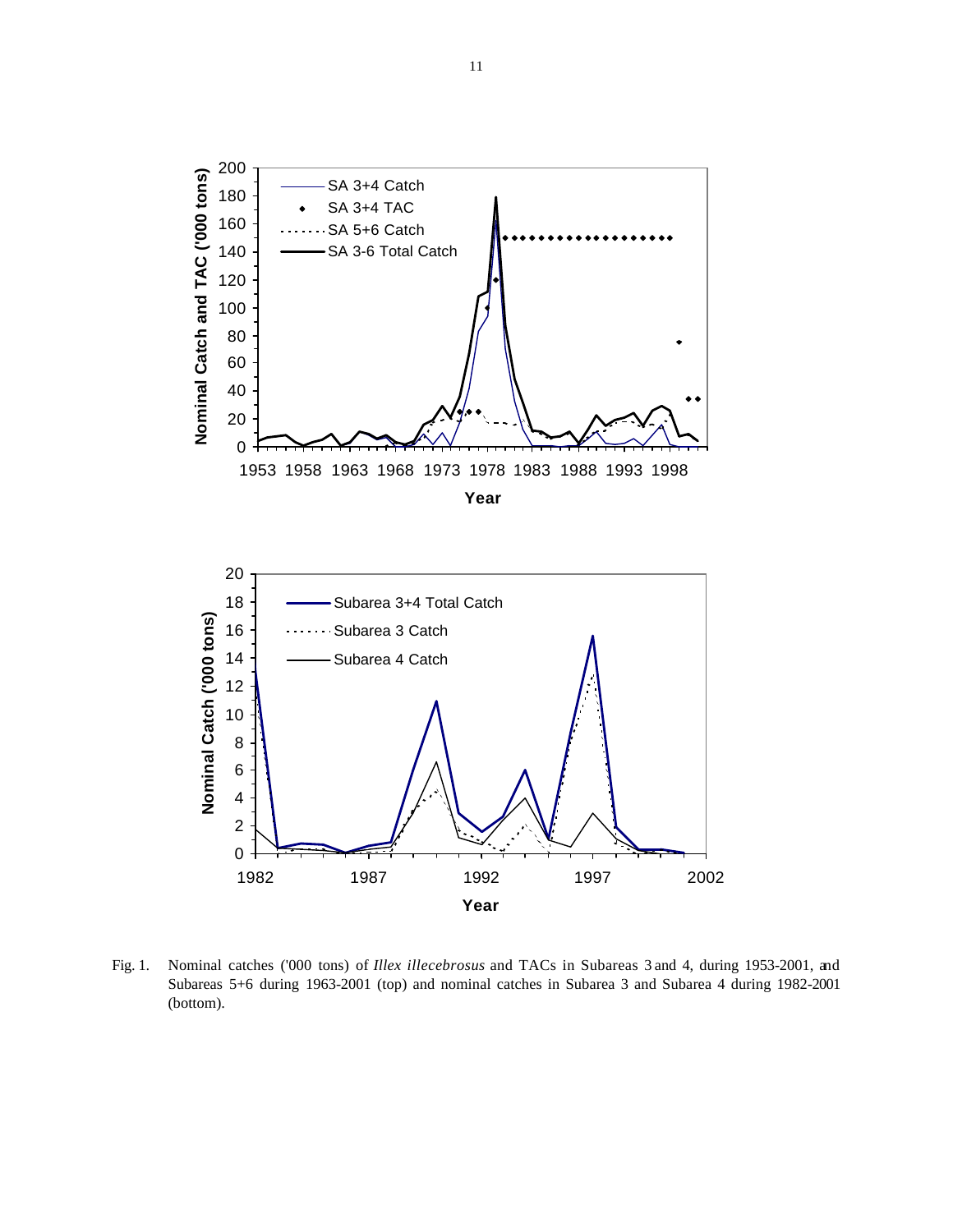



Fig. 1. Nominal catches ('000 tons) of *Illex illecebrosus* and TACs in Subareas 3 and 4, during 1953-2001, and Subareas 5+6 during 1963-2001 (top) and nominal catches in Subarea 3 and Subarea 4 during 1982-2001 (bottom).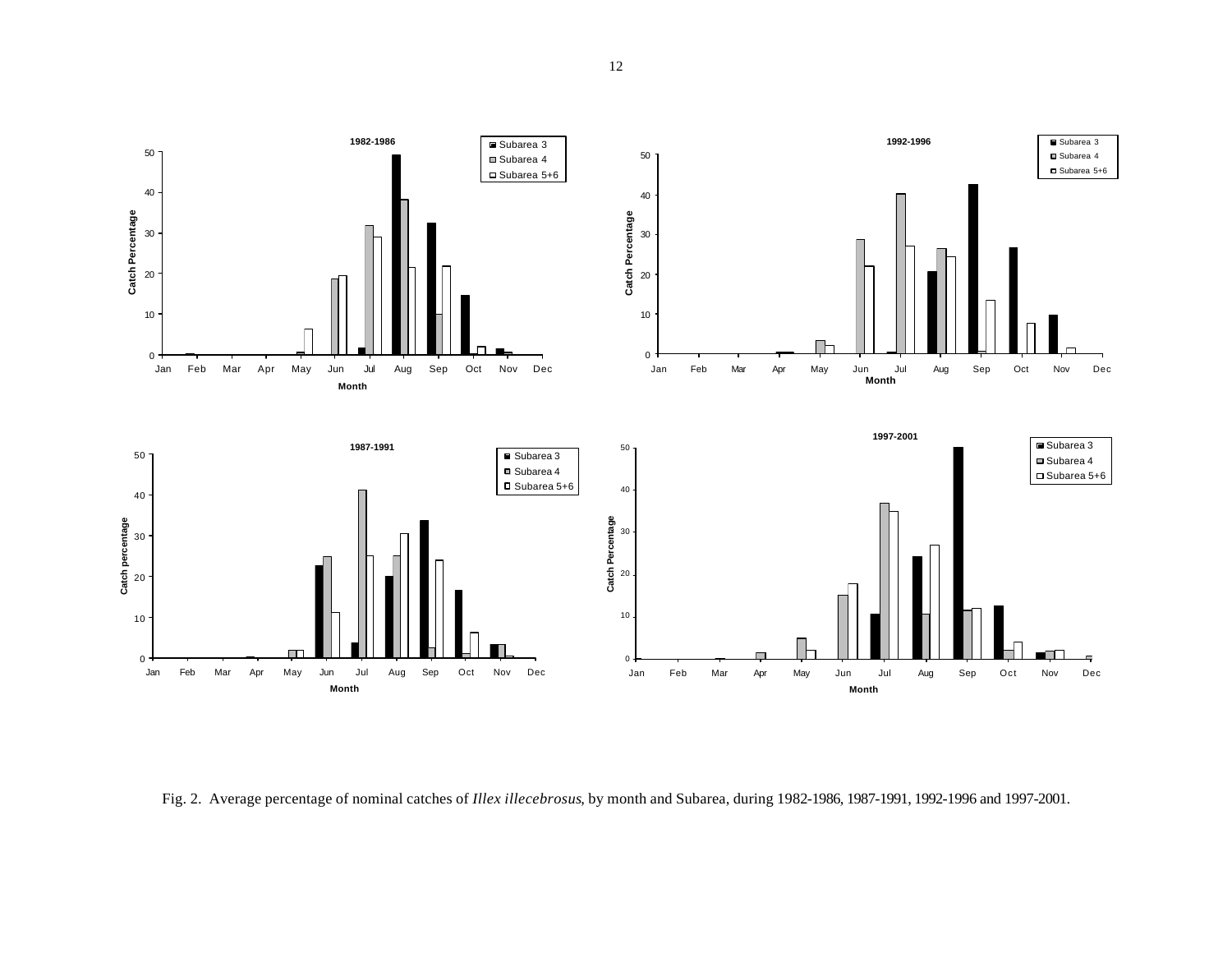

Fig. 2. Average percentage of nominal catches of *Illex illecebrosus*, by month and Subarea, during 1982-1986, 1987-1991, 1992-1996 and 1997-2001.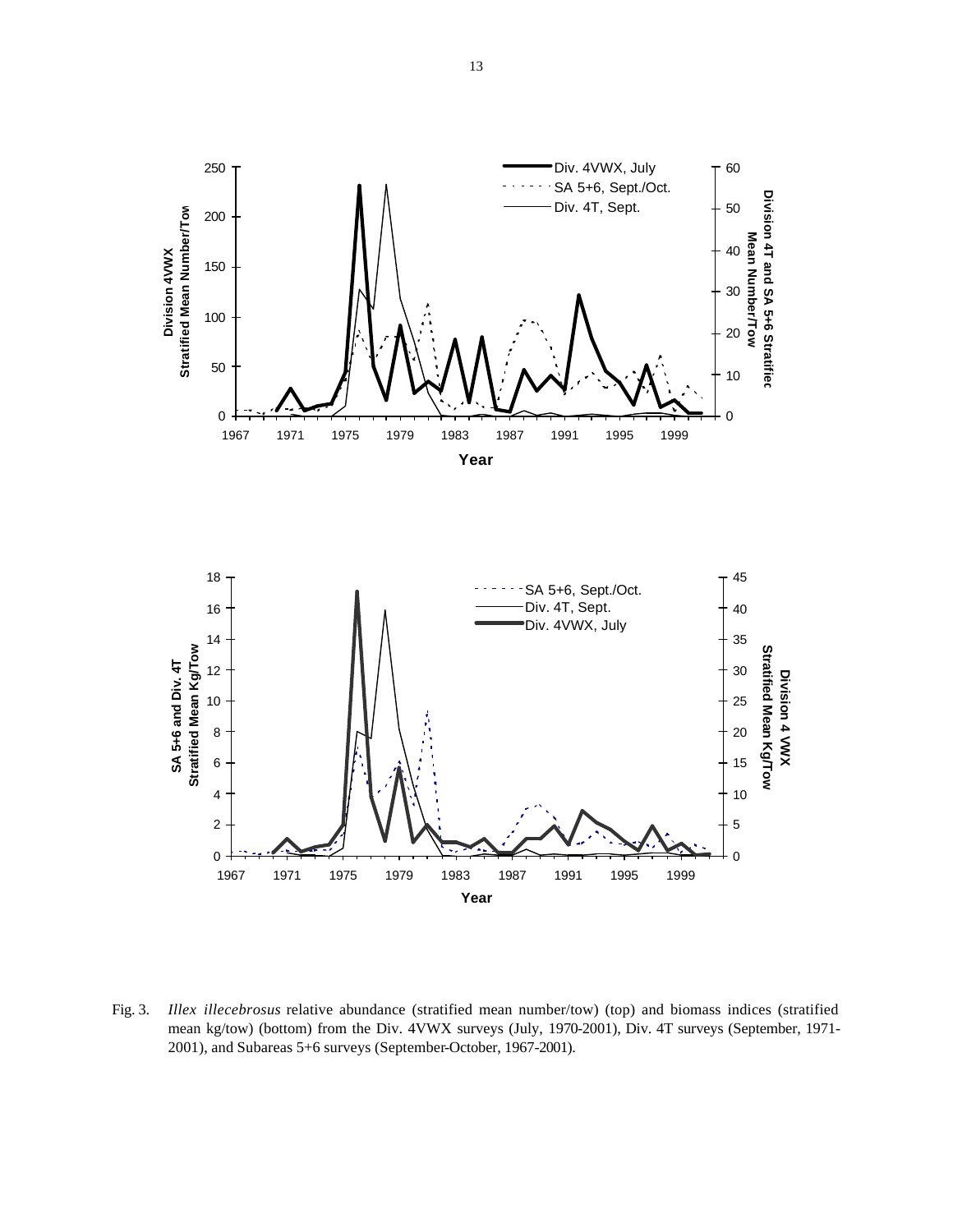

Fig. 3. *Illex illecebrosus* relative abundance (stratified mean number/tow) (top) and biomass indices (stratified mean kg/tow) (bottom) from the Div. 4VWX surveys (July, 1970-2001), Div. 4T surveys (September, 1971- 2001), and Subareas 5+6 surveys (September-October, 1967-2001).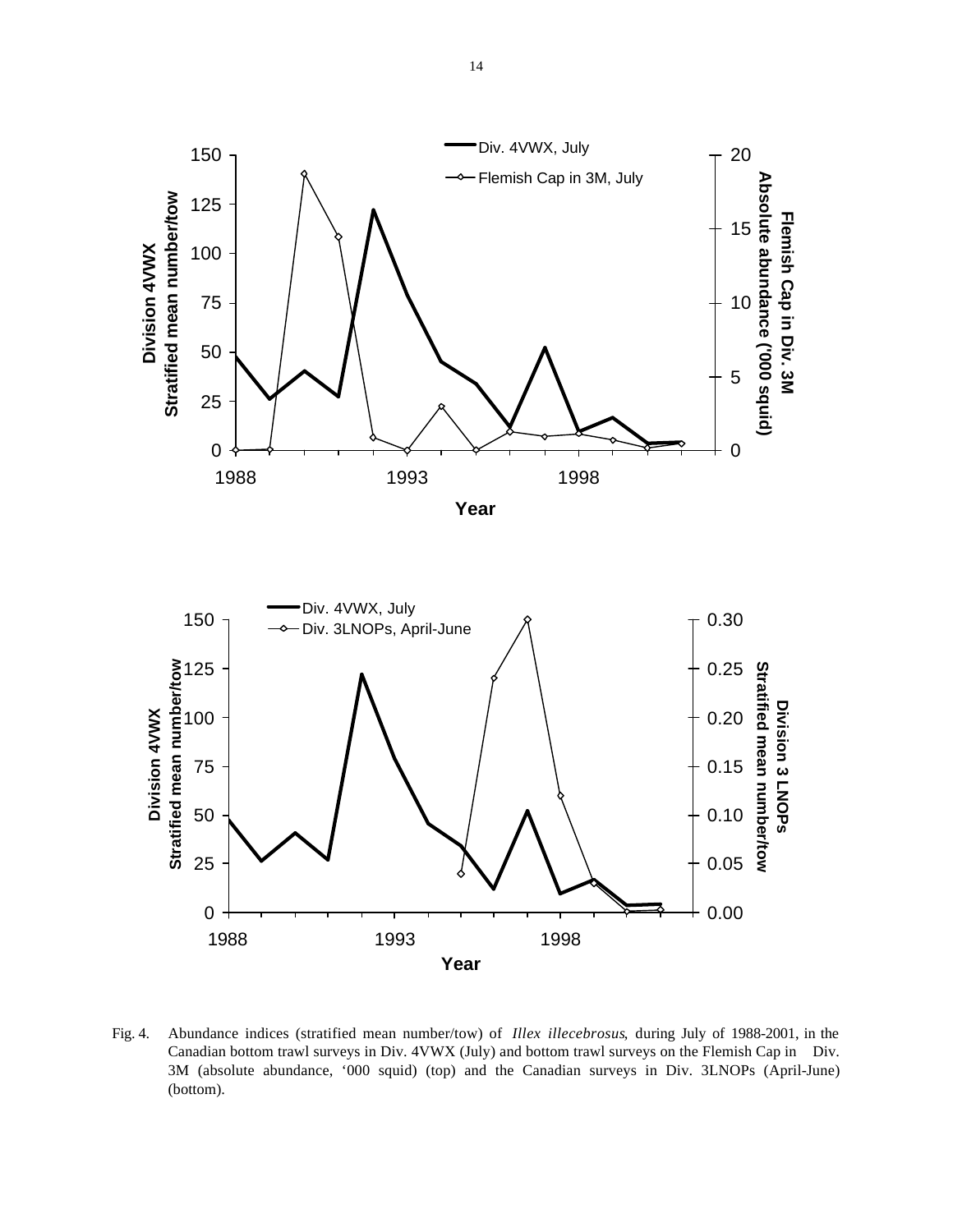



Fig. 4. Abundance indices (stratified mean number/tow) of *Illex illecebrosus*, during July of 1988-2001, in the Canadian bottom trawl surveys in Div. 4VWX (July) and bottom trawl surveys on the Flemish Cap in Div. 3M (absolute abundance, '000 squid) (top) and the Canadian surveys in Div. 3LNOPs (April-June) (bottom).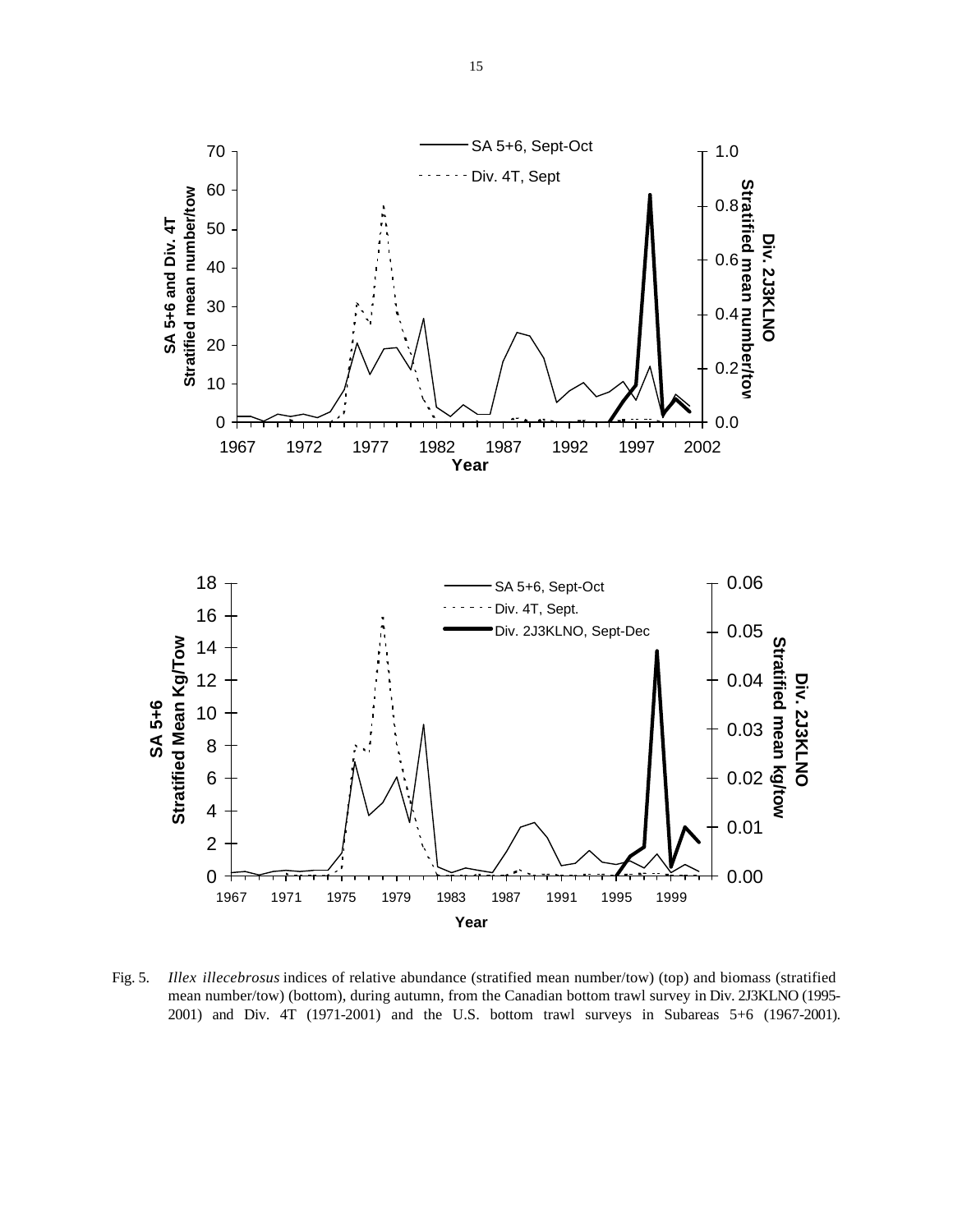

Fig. 5. *Illex illecebrosus* indices of relative abundance (stratified mean number/tow) (top) and biomass (stratified mean number/tow) (bottom), during autumn, from the Canadian bottom trawl survey in Div. 2J3KLNO (1995- 2001) and Div. 4T (1971-2001) and the U.S. bottom trawl surveys in Subareas 5+6 (1967-2001).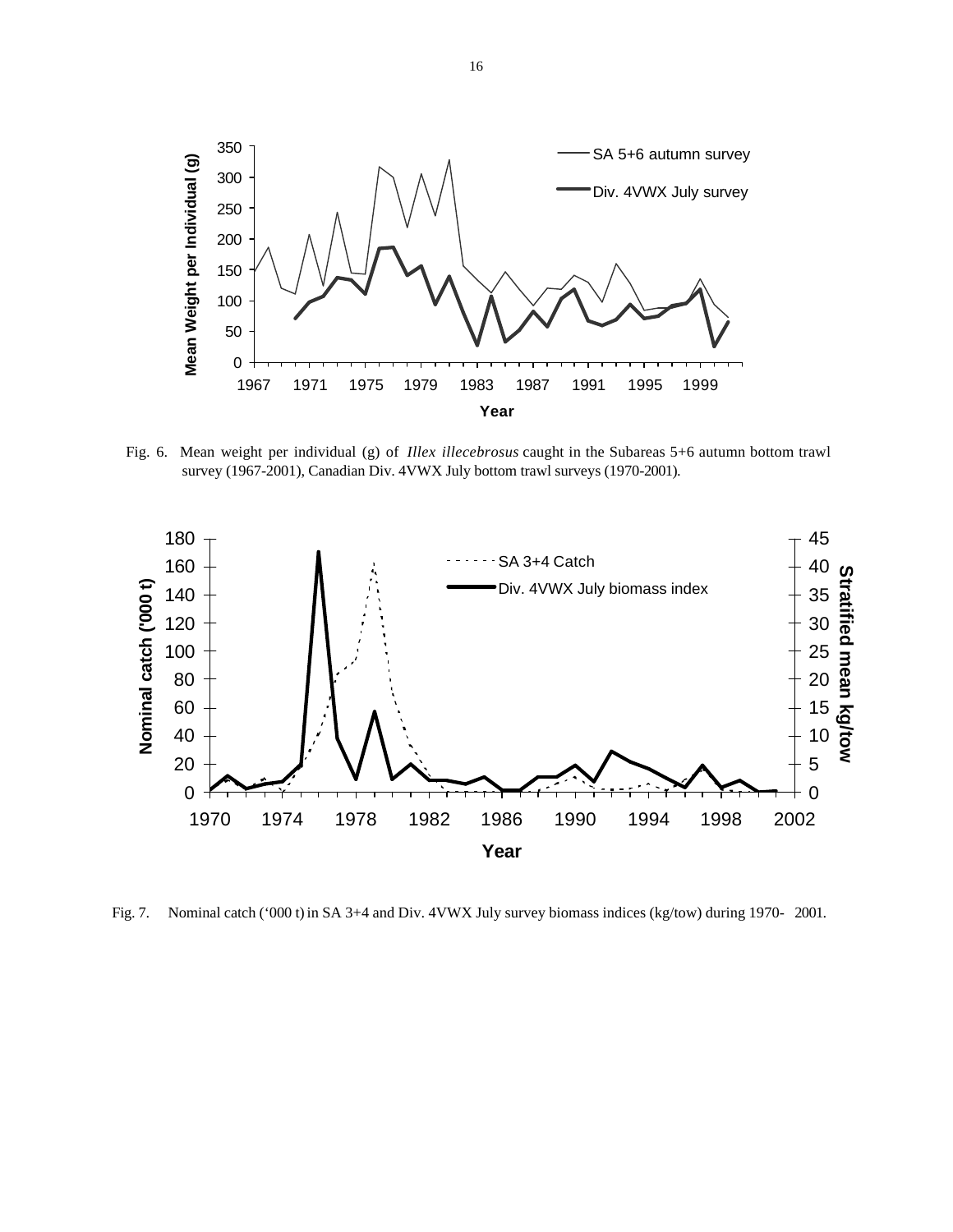

Fig. 6. Mean weight per individual (g) of *Illex illecebrosus* caught in the Subareas 5+6 autumn bottom trawl survey (1967-2001), Canadian Div. 4VWX July bottom trawl surveys (1970-2001).



Fig. 7. Nominal catch ('000 t) in SA 3+4 and Div. 4VWX July survey biomass indices (kg/tow) during 1970- 2001.